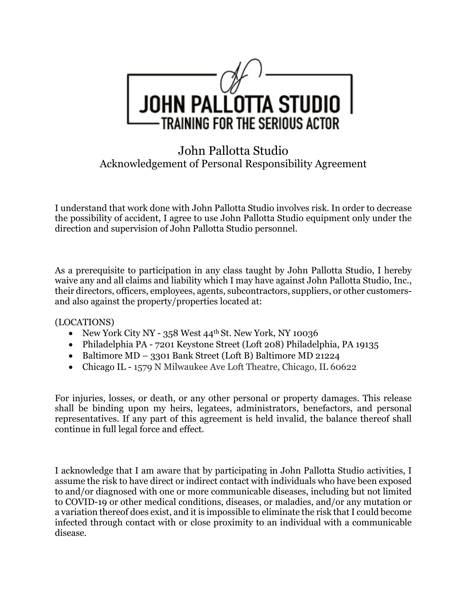

## John Pallotta Studio Acknowledgement of Personal Responsibility Agreement

I understand that work done with John Pallotta Studio involves risk. In order to decrease the possibility of accident, I agree to use John Pallotta Studio equipment only under the direction and supervision of John Pallotta Studio personnel.

As a prerequisite to participation in any class taught by John Pallotta Studio, I hereby waive any and all claims and liability which I may have against John Pallotta Studio, Inc., their directors, officers, employees, agents, subcontractors, suppliers, or other customersand also against the property/properties located at:

## (LOCATIONS)

- New York City NY 358 West 44<sup>th</sup> St. New York, NY 10036
- Philadelphia PA 7201 Keystone Street (Loft 208) Philadelphia, PA 19135
- Baltimore MD 3301 Bank Street (Loft B) Baltimore MD 21224
- Chicago IL 1579 N Milwaukee Ave Loft Theatre, Chicago, IL 60622

For injuries, losses, or death, or any other personal or property damages. This release shall be binding upon my heirs, legatees, administrators, benefactors, and personal representatives. If any part of this agreement is held invalid, the balance thereof shall continue in full legal force and effect.

I acknowledge that I am aware that by participating in John Pallotta Studio activities, I assume the risk to have direct or indirect contact with individuals who have been exposed to and/or diagnosed with one or more communicable diseases, including but not limited to COVID-19 or other medical conditions, diseases, or maladies, and/or any mutation or a variation thereof does exist, and it is impossible to eliminate the risk that I could become infected through contact with or close proximity to an individual with a communicable disease.